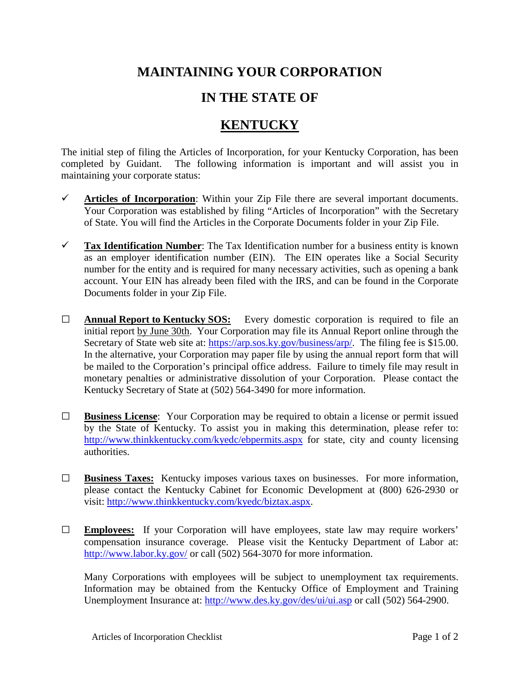## **MAINTAINING YOUR CORPORATION**

## **IN THE STATE OF**

## **KENTUCKY**

The initial step of filing the Articles of Incorporation, for your Kentucky Corporation, has been completed by Guidant. The following information is important and will assist you in maintaining your corporate status:

- $\checkmark$  Articles of Incorporation: Within your Zip File there are several important documents. Your Corporation was established by filing "Articles of Incorporation" with the Secretary of State. You will find the Articles in the Corporate Documents folder in your Zip File.
- **Tax Identification Number**: The Tax Identification number for a business entity is known as an employer identification number (EIN). The EIN operates like a Social Security number for the entity and is required for many necessary activities, such as opening a bank account. Your EIN has already been filed with the IRS, and can be found in the Corporate Documents folder in your Zip File.
- **□ Annual Report to Kentucky SOS:** Every domestic corporation is required to file an initial report by June 30th. Your Corporation may file its Annual Report online through the Secretary of State web site at: [https://arp.sos.ky.gov/business/arp/.](https://arp.sos.ky.gov/business/arp/) The filing fee is \$15.00. In the alternative, your Corporation may paper file by using the annual report form that will be mailed to the Corporation's principal office address. Failure to timely file may result in monetary penalties or administrative dissolution of your Corporation. Please contact the Kentucky Secretary of State at (502) 564-3490 for more information.
- **□ Business License**: Your Corporation may be required to obtain a license or permit issued by the State of Kentucky. To assist you in making this determination, please refer to: <http://www.thinkkentucky.com/kyedc/ebpermits.aspx> for state, city and county licensing authorities.
- **□ Business Taxes:** Kentucky imposes various taxes on businesses. For more information, please contact the Kentucky Cabinet for Economic Development at (800) 626-2930 or visit: [http://www.thinkkentucky.com/kyedc/biztax.aspx.](http://www.thinkkentucky.com/kyedc/biztax.aspx)
- **□ Employees:** If your Corporation will have employees, state law may require workers' compensation insurance coverage. Please visit the Kentucky Department of Labor at: <http://www.labor.ky.gov/> or call (502) 564-3070 for more information.

Many Corporations with employees will be subject to unemployment tax requirements. Information may be obtained from the Kentucky Office of Employment and Training Unemployment Insurance at:<http://www.des.ky.gov/des/ui/ui.asp> or call (502) 564-2900.